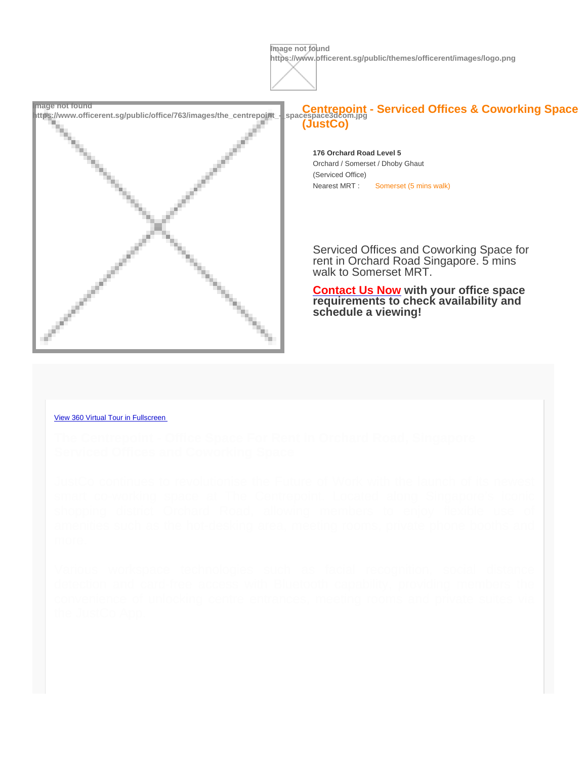Image not found<br>https://www.officerent.sg/public/office/763/images/the\_centrepoint\_-\_spacespace3dcom.jpg<br>Decombilition://www.officerent.sg/public/office/763/images/the\_centrepoint\_-\_spacespace3dcom.jpg (JustCo)

> 176 Orchard Road Level 5 Orchard / Somerset / Dhoby Ghaut (Serviced Office) Nearest MRT : Somerset (5 mins walk)

Serviced Offices and Coworking Space for rent in Orchard Road Singapore. 5 mins walk to Somerset MRT.

[Contact Us Now](https://spacespace3d.co/3d-model/centrepoint-justco/skinned/#contact) with your office space requirements to check availability and schedule a viewing!

## [View 360 Virtual Tour in Fullscreen](https://spacespace3d.co/3d-model/centrepoint-justco/fullscreen/)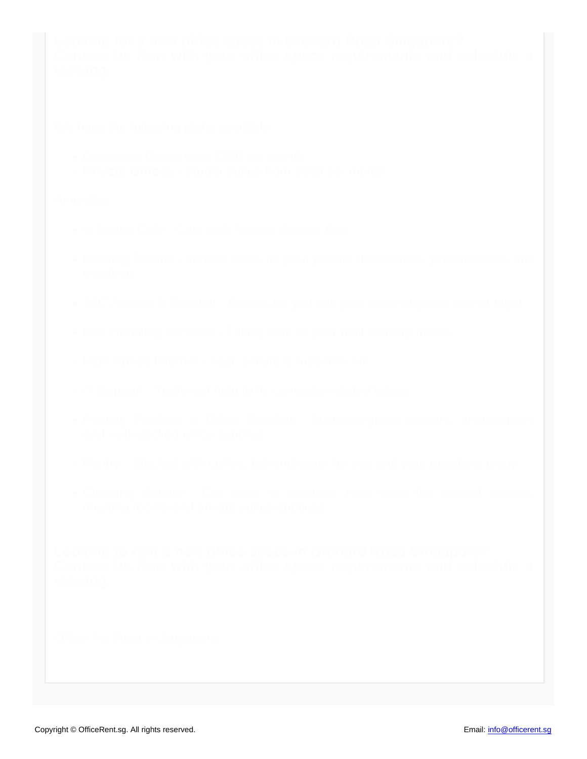- 
- 

- 
- 
- 
- 
- 
- 
- 
- 
-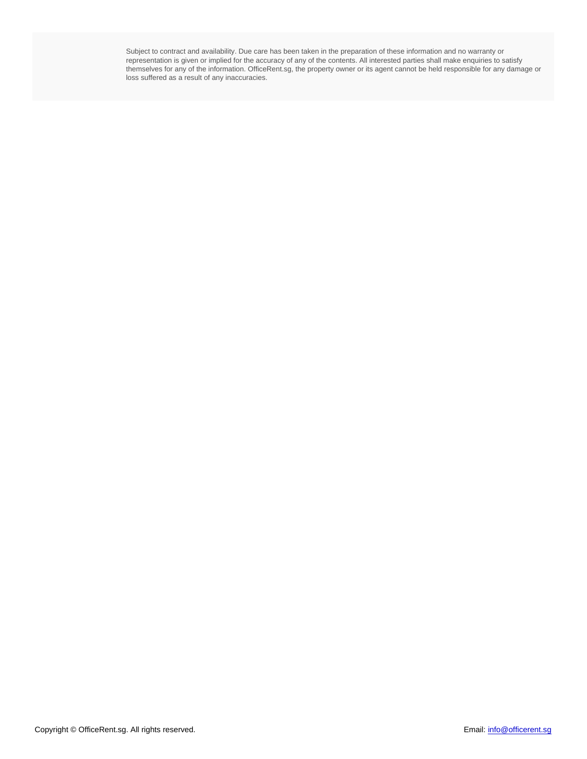Subject to contract and availability. Due care has been taken in the preparation of these information and no warranty or representation is given or implied for the accuracy of any of the contents. All interested parties shall make enquiries to satisfy themselves for any of the information. OfficeRent.sg, the property owner or its agent cannot be held responsible for any damage or loss suffered as a result of any inaccuracies.